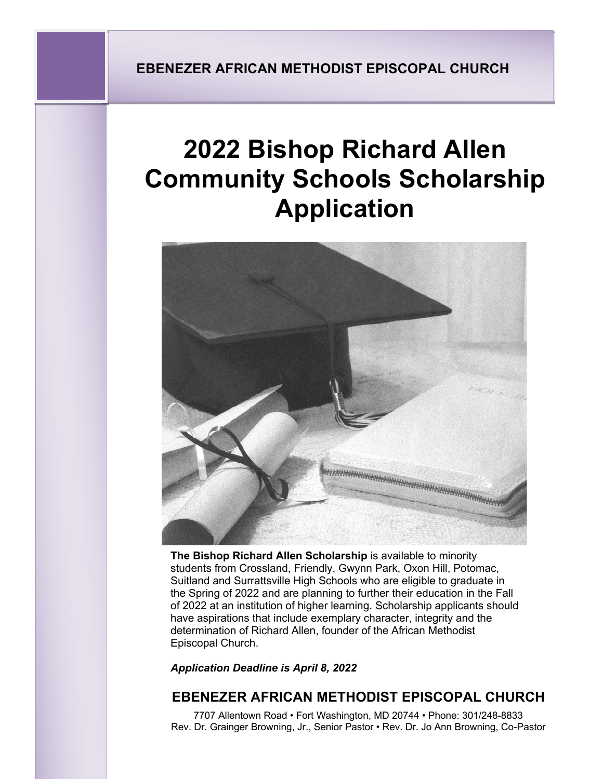# **2022 Bishop Richard Allen Community Schools Scholarship Application**



**The Bishop Richard Allen Scholarship** is available to minority students from Crossland, Friendly, Gwynn Park, Oxon Hill, Potomac, Suitland and Surrattsville High Schools who are eligible to graduate in the Spring of 2022 and are planning to further their education in the Fall of 2022 at an institution of higher learning. Scholarship applicants should have aspirations that include exemplary character, integrity and the determination of Richard Allen, founder of the African Methodist Episcopal Church.

*Application Deadline is April 8, 2022*

# **EBENEZER AFRICAN METHODIST EPISCOPAL CHURCH**

7707 Allentown Road • Fort Washington, MD 20744 • Phone: 301/248-8833 Rev. Dr. Grainger Browning, Jr., Senior Pastor • Rev. Dr. Jo Ann Browning, Co-Pastor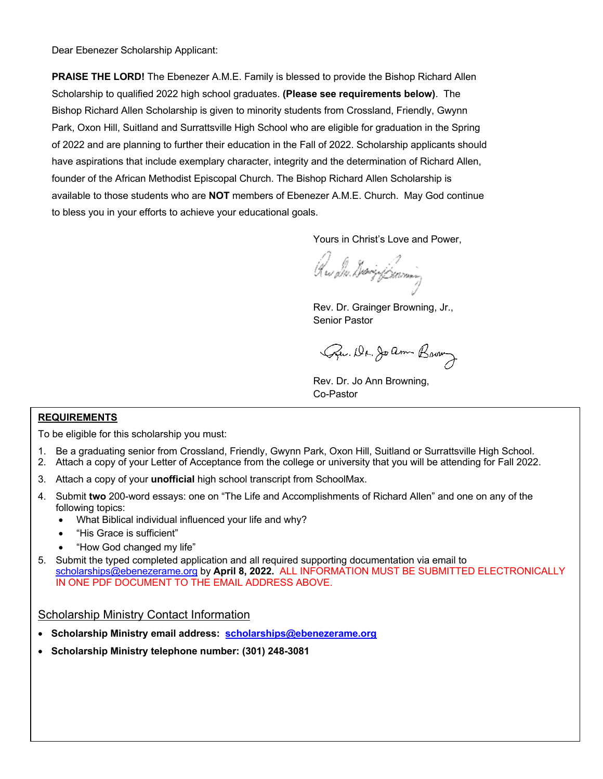Dear Ebenezer Scholarship Applicant:

**PRAISE THE LORD!** The Ebenezer A.M.E. Family is blessed to provide the Bishop Richard Allen Scholarship to qualified 2022 high school graduates. **(Please see requirements below)**. The Bishop Richard Allen Scholarship is given to minority students from Crossland, Friendly, Gwynn Park, Oxon Hill, Suitland and Surrattsville High School who are eligible for graduation in the Spring of 2022 and are planning to further their education in the Fall of 2022. Scholarship applicants should have aspirations that include exemplary character, integrity and the determination of Richard Allen, founder of the African Methodist Episcopal Church. The Bishop Richard Allen Scholarship is available to those students who are **NOT** members of Ebenezer A.M.E. Church. May God continue to bless you in your efforts to achieve your educational goals.

Yours in Christ's Love and Power,

Que ilm divrigi fissioning

Rev. Dr. Grainger Browning, Jr., Senior Pastor

Que. Dr. Joanne Brown

Rev. Dr. Jo Ann Browning, Co-Pastor

#### **REQUIREMENTS**

To be eligible for this scholarship you must:

- 1. Be a graduating senior from Crossland, Friendly, Gwynn Park, Oxon Hill, Suitland or Surrattsville High School.
- 2. Attach a copy of your Letter of Acceptance from the college or university that you will be attending for Fall 2022.
- 3. Attach a copy of your **unofficial** high school transcript from SchoolMax.
- 4. Submit **two** 200-word essays: one on "The Life and Accomplishments of Richard Allen" and one on any of the following topics:
	- What Biblical individual influenced your life and why?
	- "His Grace is sufficient"
	- "How God changed my life"
- 5. Submit the typed completed application and all required supporting documentation via email to scholarships@ebenezerame.org by **April 8, 2022.** ALL INFORMATION MUST BE SUBMITTED ELECTRONICALLY IN ONE PDF DOCUMENT TO THE EMAIL ADDRESS ABOVE.

Scholarship Ministry Contact Information

- **Scholarship Ministry email address: scholarships@ebenezerame.org**
- **Scholarship Ministry telephone number: (301) 248-3081**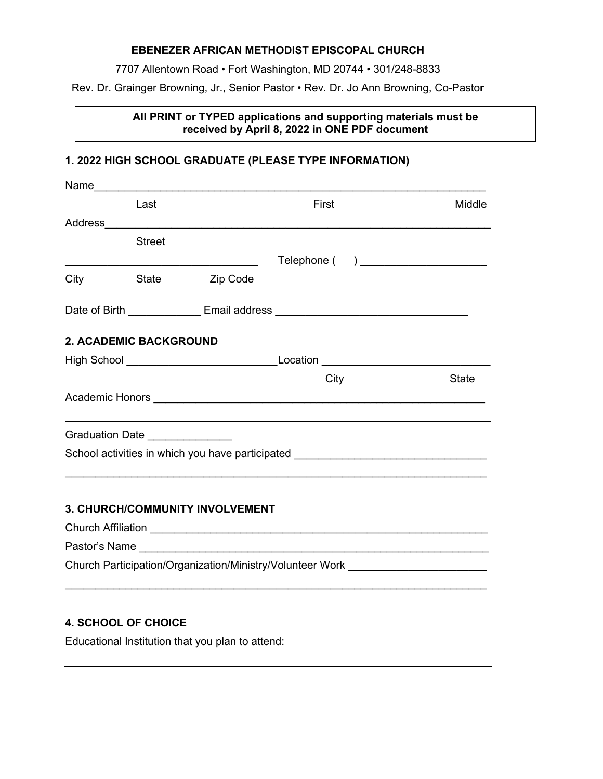#### **EBENEZER AFRICAN METHODIST EPISCOPAL CHURCH**

7707 Allentown Road • Fort Washington, MD 20744 • 301/248-8833

Rev. Dr. Grainger Browning, Jr., Senior Pastor • Rev. Dr. Jo Ann Browning, Co-Pasto**r**

#### **All PRINT or TYPED applications and supporting materials must be received by April 8, 2022 in ONE PDF document**

## **1. 2022 HIGH SCHOOL GRADUATE (PLEASE TYPE INFORMATION)**

|                                 |               | Name                                   |                                                                                                                      |              |
|---------------------------------|---------------|----------------------------------------|----------------------------------------------------------------------------------------------------------------------|--------------|
|                                 | Last          |                                        | First                                                                                                                | Middle       |
|                                 |               |                                        |                                                                                                                      |              |
|                                 | <b>Street</b> |                                        |                                                                                                                      |              |
|                                 |               |                                        | Telephone ( ) _______________________                                                                                |              |
| City                            | <b>State</b>  | Zip Code                               |                                                                                                                      |              |
|                                 |               |                                        |                                                                                                                      |              |
| <b>2. ACADEMIC BACKGROUND</b>   |               |                                        |                                                                                                                      |              |
|                                 |               |                                        |                                                                                                                      |              |
|                                 |               |                                        | City                                                                                                                 | <b>State</b> |
|                                 |               |                                        |                                                                                                                      |              |
| Graduation Date _______________ |               |                                        |                                                                                                                      |              |
|                                 |               |                                        | School activities in which you have participated _______________________________                                     |              |
|                                 |               |                                        |                                                                                                                      |              |
|                                 |               | <b>3. CHURCH/COMMUNITY INVOLVEMENT</b> |                                                                                                                      |              |
|                                 |               |                                        |                                                                                                                      |              |
|                                 |               |                                        |                                                                                                                      |              |
|                                 |               |                                        | Church Participation/Organization/Ministry/Volunteer Work [Church Participation/Organization/Ministry/Volunteer Work |              |

 $\_$ 

### **4. SCHOOL OF CHOICE**

Educational Institution that you plan to attend: